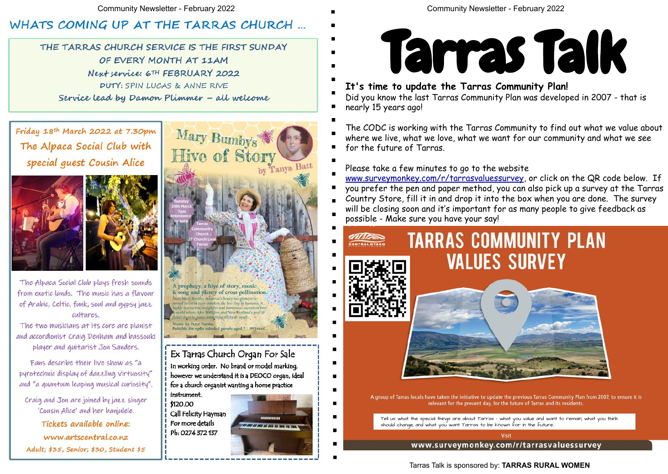Community Newsletter - February 2022 Community Newsletter - February 2022

# WHATS COMING UP AT THE TARRAS CHURCH ...

THE TARRAS CHURCH SERVICE IS THE FIRST SUNDAY OF EVERY MONTH AT 11AM Next service: 6TH FEBRUARY 2022 DUTY: SPIN LUCAS & ANNE RIVE Service lead by Damon Plimmer - all welcome

Friday 18th March 2022 at 7.30pm The Alpaca Social Club with special guest Cousin Alice



The Alpaca Social Club plays fresh sounds from exotic lands. The music has a flavour of Arabic, Celtic, funk, soul and gypsy jazz cultures.

The two musicians at its core are planist and accordionist Craig Denham and bassouki player and guitarist Jon Sanders.

Fans describe their live show as "a pyrotechnic display of dazzling virtuosity" and "a quantum leaping musical curiosity".

Craig and Jon are joined by jazz singer 'Cousin Alice' and her banjulele. Tickets available online: www.artscentral.co.nz

Adult; \$35, Senior; \$30, Student \$5



Mary Bumby's

Hive of Story

Music by Peter Forster Suitable for open minded people aged 7 - 99 years

## Ex Tarras Church Organ For Sale

In working order. No brand or model marking, however we understand it is a DEOCO organ, ideal for a church organist wanting a home practice

instrument. \$120.00 Call Felicity Hayman For more details Ph: 0274 372 137



Tarras Talk is sponsored by: **TARRAS RURAL WOMEN**



Tell us what the special things are about Tarras – what you value and want to remain; what you think should change; and what you want Tarras to be known for in the future..

- **It's time to update the Tarras Community Plan!**
- 
- nearly 15 years ago!
- The CODC is working with the Tarras Community to find out what we value about
- where we live, what we love, what we want for our community and what we see
- for the future of Tarras.
- **Use the QR code**  www.surveymonkey.com/r/tarrasvaluessurvey, or click on the QR code below. If Please take a few minutes to go to the website
- you prefer the pen and paper method, you can also pick up a survey at the Tarras
- **the survey of**  $\frac{1}{2}$ **Browse to the**  Country Store, fill it in and drop it into the box when you are done. The survey
- **link below, or you can pop into the**  will be closing soon and it's important for as many people to give feedback as **Store and get a**  possible - Make sure you have your say!<br>————————————————————



A group of Tarras locals have taken the initiative to update the previous Tarras Community Plan from 2007, to ensure it is relevant for the present day, for the future of Tarras and its residents.

Did you know the last Tarras Community Plan was developed in 2007 - that is

www.surveymonkey.com/r/tarrasvaluessurvey